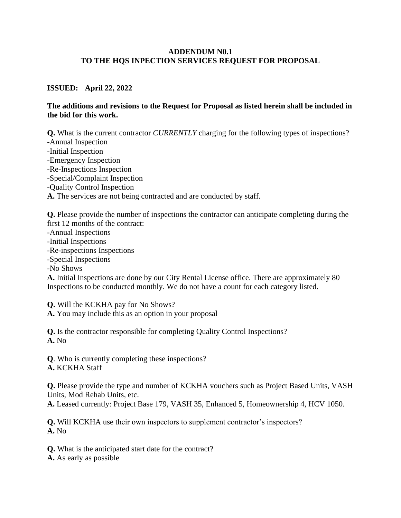## **ADDENDUM N0.1 TO THE HQS INPECTION SERVICES REQUEST FOR PROPOSAL**

## **ISSUED: April 22, 2022**

## **The additions and revisions to the Request for Proposal as listed herein shall be included in the bid for this work.**

**Q.** What is the current contractor *CURRENTLY* charging for the following types of inspections? -Annual Inspection -Initial Inspection -Emergency Inspection -Re-Inspections Inspection -Special/Complaint Inspection -Quality Control Inspection **A.** The services are not being contracted and are conducted by staff.

**Q.** Please provide the number of inspections the contractor can anticipate completing during the first 12 months of the contract:

- -Annual Inspections
- -Initial Inspections
- -Re-inspections Inspections
- -Special Inspections
- -No Shows

**A.** Initial Inspections are done by our City Rental License office. There are approximately 80 Inspections to be conducted monthly. We do not have a count for each category listed.

**Q.** Will the KCKHA pay for No Shows?

**A.** You may include this as an option in your proposal

**Q.** Is the contractor responsible for completing Quality Control Inspections? **A.** No

**Q**. Who is currently completing these inspections? **A.** KCKHA Staff

**Q.** Please provide the type and number of KCKHA vouchers such as Project Based Units, VASH Units, Mod Rehab Units, etc.

**A.** Leased currently: Project Base 179, VASH 35, Enhanced 5, Homeownership 4, HCV 1050.

**Q.** Will KCKHA use their own inspectors to supplement contractor's inspectors? **A.** No

**Q.** What is the anticipated start date for the contract?

**A.** As early as possible